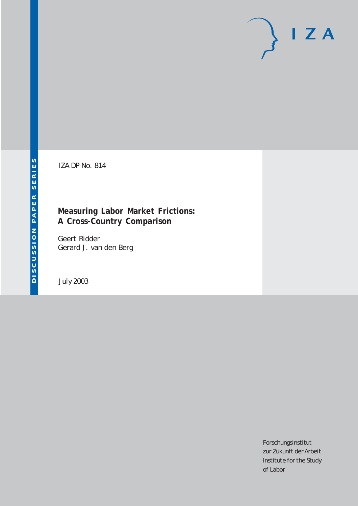# $I Z A$

IZA DP No. 814

## **Measuring Labor Market Frictions: A Cross-Country Comparison**

Geert Ridder Gerard J. van den Berg

July 2003

Forschungsinstitut zur Zukunft der Arbeit Institute for the Study of Labor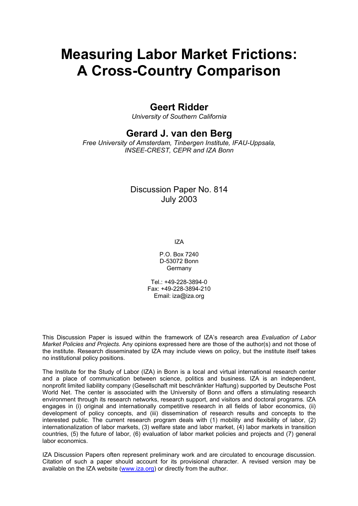# **Measuring Labor Market Frictions: A Cross-Country Comparison**

## **Geert Ridder**

*University of Southern California* 

## **Gerard J. van den Berg**

*Free University of Amsterdam, Tinbergen Institute, IFAU-Uppsala, INSEE-CREST, CEPR and IZA Bonn* 

## Discussion Paper No. 814 July 2003

IZA

P.O. Box 7240 D-53072 Bonn Germany

Tel.: +49-228-3894-0 Fax: +49-228-3894-210 Email: [iza@iza.org](mailto:iza@iza.org)

This Discussion Paper is issued within the framework of IZA's research area *Evaluation of Labor Market Policies and Projects.* Any opinions expressed here are those of the author(s) and not those of the institute. Research disseminated by IZA may include views on policy, but the institute itself takes no institutional policy positions.

The Institute for the Study of Labor (IZA) in Bonn is a local and virtual international research center and a place of communication between science, politics and business. IZA is an independent, nonprofit limited liability company (Gesellschaft mit beschränkter Haftung) supported by Deutsche Post World Net. The center is associated with the University of Bonn and offers a stimulating research environment through its research networks, research support, and visitors and doctoral programs. IZA engages in (i) original and internationally competitive research in all fields of labor economics, (ii) development of policy concepts, and (iii) dissemination of research results and concepts to the interested public. The current research program deals with (1) mobility and flexibility of labor, (2) internationalization of labor markets, (3) welfare state and labor market, (4) labor markets in transition countries, (5) the future of labor, (6) evaluation of labor market policies and projects and (7) general labor economics.

IZA Discussion Papers often represent preliminary work and are circulated to encourage discussion. Citation of such a paper should account for its provisional character. A revised version may be available on the IZA website ([www.iza.org](http://www.iza.org/)) or directly from the author.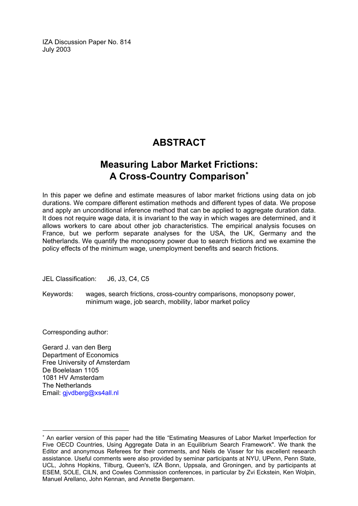IZA Discussion Paper No. 814 July 2003

## **ABSTRACT**

## **Measuring Labor Market Frictions: A Cross-Country Comparison**[∗](#page-2-0)

In this paper we define and estimate measures of labor market frictions using data on job durations. We compare different estimation methods and different types of data. We propose and apply an unconditional inference method that can be applied to aggregate duration data. It does not require wage data, it is invariant to the way in which wages are determined, and it allows workers to care about other job characteristics. The empirical analysis focuses on France, but we perform separate analyses for the USA, the UK, Germany and the Netherlands. We quantify the monopsony power due to search frictions and we examine the policy effects of the minimum wage, unemployment benefits and search frictions.

JEL Classification: J6, J3, C4, C5

Keywords: wages, search frictions, cross-country comparisons, monopsony power, minimum wage, job search, mobility, labor market policy

Corresponding author:

 $\overline{a}$ 

Gerard J. van den Berg Department of Economics Free University of Amsterdam De Boelelaan 1105 1081 HV Amsterdam The Netherlands Email: givdberg@xs4all.nl

<span id="page-2-0"></span><sup>∗</sup> An earlier version of this paper had the title "Estimating Measures of Labor Market Imperfection for Five OECD Countries, Using Aggregate Data in an Equilibrium Search Framework". We thank the Editor and anonymous Referees for their comments, and Niels de Visser for his excellent research assistance. Useful comments were also provided by seminar participants at NYU, UPenn, Penn State, UCL, Johns Hopkins, Tilburg, Queen's, IZA Bonn, Uppsala, and Groningen, and by participants at ESEM, SOLE, CILN, and Cowles Commission conferences, in particular by Zvi Eckstein, Ken Wolpin, Manuel Arellano, John Kennan, and Annette Bergemann.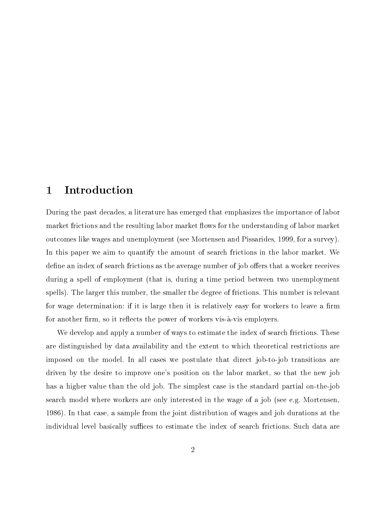## 1 Introduction

During the past decades, a literature has emerged that emphasizes the importance of labor market frictions and the resulting labor market flows for the understanding of labor market outcomes like wages and unemployment (see Mortensen and Pissarides, 1999, for a survey). In this paper we aim to quantify the amount of search frictions in the labor market. We define an index of search frictions as the average number of job offers that a worker receives during a spell of employment (that is, during a time period between two unemployment spells). The larger this number, the smaller the degree of frictions. This number is relevant for wage determination: if it is large then it is relatively easy for workers to leave a firm for another firm, so it reflects the power of workers vis-à-vis employers.

We develop and apply a number of ways to estimate the index of search frictions. These are distinguished by data availability and the extent to which theoretical restrictions are imposed on the model. In all cases we postulate that direct job-to-job transitions are driven by the desire to improve one's position on the labor market, so that the new job has a higher value than the old job. The simplest case is the standard partial on-the-job search model where workers are only interested in the wage of a job (see e.g. Mortensen, 1986). In that case, a sample from the joint distribution of wages and job durations at the individual level basically suffices to estimate the index of search frictions. Such data are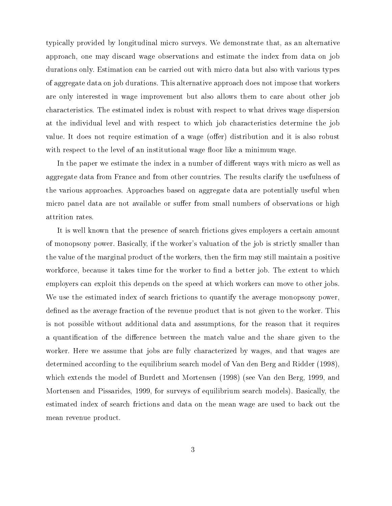typically provided by longitudinal micro surveys. We demonstrate that, as an alternative approach, one may discard wage observations and estimate the index from data on job durations only. Estimation can be carried out with micro data but also with various types of aggregate data on job durations. This alternative approach does not impose that workers are only interested in wage improvement but also allows them to care about other job characteristics. The estimated index is robust with respect to what drives wage dispersion at the individual level and with respect to which job characteristics determine the job value. It does not require estimation of a wage (offer) distribution and it is also robust with respect to the level of an institutional wage floor like a minimum wage.

In the paper we estimate the index in a number of different ways with micro as well as aggregate data from France and from other countries. The results clarify the usefulness of the various approaches. Approaches based on aggregate data are potentially useful when micro panel data are not available or suffer from small numbers of observations or high attrition rates.

It is well known that the presence of search frictions gives employers a certain amount of monopsony power. Basically, if the worker's valuation of the job is strictly smaller than the value of the marginal product of the workers, then the firm may still maintain a positive workforce, because it takes time for the worker to find a better job. The extent to which employers can exploit this depends on the speed at which workers can move to other jobs. We use the estimated index of search frictions to quantify the average monopsony power, defined as the average fraction of the revenue product that is not given to the worker. This is not possible without additional data and assumptions, for the reason that it requires a quantification of the difference between the match value and the share given to the worker. Here we assume that jobs are fully characterized by wages, and that wages are determined according to the equilibrium search model of Van den Berg and Ridder (1998), which extends the model of Burdett and Mortensen (1998) (see Van den Berg, 1999, and Mortensen and Pissarides, 1999, for surveys of equilibrium search models). Basically, the estimated index of search frictions and data on the mean wage are used to back out the mean revenue product.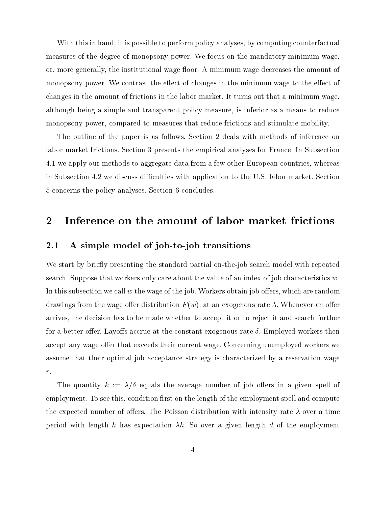With this in hand, it is possible to perform policy analyses, by computing counterfactual measures of the degree of monopsony power. We focus on the mandatory minimum wage, or, more generally, the institutional wage floor. A minimum wage decreases the amount of monopsony power. We contrast the effect of changes in the minimum wage to the effect of changes in the amount of frictions in the labor market. It turns out that a minimum wage, although being a simple and transparent policy measure, is inferior as a means to reduce monopsony power, compared to measures that reduce frictions and stimulate mobility.

The outline of the paper is as follows. Section 2 deals with methods of inference on labor market frictions. Section 3 presents the empirical analyses for France. In Subsection 4.1 we apply our methods to aggregate data from a few other European countries, whereas in Subsection 4.2 we discuss difficulties with application to the U.S. labor market. Section 5 concerns the policy analyses. Section 6 concludes.

## 2 Inference on the amount of labor market frictions

## 2.1 A simple model of job-to-job transitions

We start by briefly presenting the standard partial on-the-job search model with repeated search. Suppose that workers only care about the value of an index of job characteristics  $w$ . In this subsection we call  $w$  the wage of the job. Workers obtain job offers, which are random drawings from the wage offer distribution  $F(w)$ , at an exogenous rate  $\lambda$ . Whenever an offer arrives, the decision has to be made whether to accept it or to reject it and search further for a better offer. Layoffs accrue at the constant exogenous rate  $\delta$ . Employed workers then accept any wage offer that exceeds their current wage. Concerning unemployed workers we assume that their optimal job acceptance strategy is characterized by a reservation wage  $\,r$  .

The quantity  $k := \lambda/\delta$  equals the average number of job offers in a given spell of employment. To see this, condition first on the length of the employment spell and compute the expected number of offers. The Poisson distribution with intensity rate  $\lambda$  over a time period with length h has expectation  $\lambda h$ . So over a given length d of the employment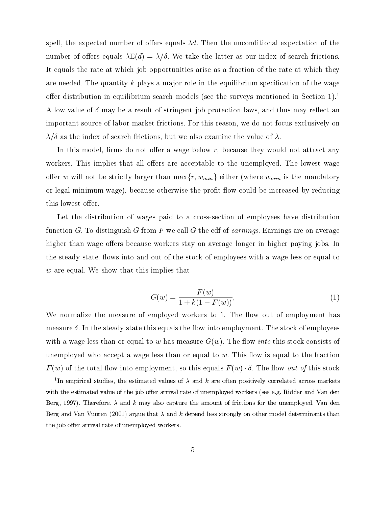spell, the expected number of offers equals  $\lambda d$ . Then the unconditional expectation of the number of offers equals  $\lambda E(d) = \lambda/\delta$ . We take the latter as our index of search frictions. It equals the rate at which job opportunities arise as a fraction of the rate at which they are needed. The quantity  $k$  plays a major role in the equilibrium specification of the wage offer distribution in equilibrium search models (see the surveys mentioned in Section 1).<sup>1</sup> A low value of  $\delta$  may be a result of stringent job protection laws, and thus may reflect an important source of labor market frictions. For this reason, we do not focus exclusively on  $\alpha$  , as the induced of search frictions, and we also examine the value of .  $\alpha$ 

In this model, firms do not offer a wage below  $r$ , because they would not attract any workers. This implies that all offers are acceptable to the unemployed. The lowest wage offer <u>w</u> will not be strictly larger than  $\max\{r, w_{min}\}$  either (where  $w_{min}$  is the mandatory or legal minimum wage), because otherwise the profit flow could be increased by reducing this lowest offer.

Let the distribution of wages paid to a cross-section of employees have distribution function G. To distinguish G from F we call G the cdf of earnings. Earnings are on average higher than wage offers because workers stay on average longer in higher paying jobs. In the steady state, flows into and out of the stock of employees with a wage less or equal to where equals is equal. We show the this implies that the this implies that the set of the set of the set of th

$$
G(w) = \frac{F(w)}{1 + k(1 - F(w))},\tag{1}
$$

We normalize the measure of employed workers to 1. The flow out of employment has measure  $\delta$ . In the steady state this equals the flow into employment. The stock of employees with a wage less than or equal to w has measure  $G(w)$ . The flow *into* this stock consists of unemployed who accept a wage less than or equal to  $w$ . This flow is equal to the fraction  $F(w)$  of the total now thto employment, so this equals  $F(w) \cdot v$ . The now *out of* this stock

In empirical studies, the estimated values of  $\lambda$  and  $\kappa$  are often positively correlated across markets with the estimated value of the job offer arrival rate of unemployed workers (see e.g. Ridder and Van den Berg, 1997). Therefore,  $\lambda$  and k may also capture the amount of frictions for the unemployed. Van den Berg and Van Vuuren (2001) argue that  $\lambda$  and k depend less strongly on other model determinants than the job offer arrival rate of unemployed workers.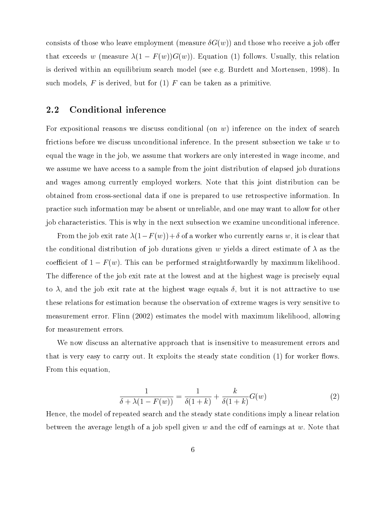consists of those who leave employment (measure  $\delta G(w)$ ) and those who receive a job offer that exceeds w (measure  $\lambda(1 - F(w))G(w)$ ). Equation (1) follows. Usually, this relation is derived within an equilibrium search model (see e.g. Burdett and Mortensen, 1998). In such models,  $F$  is derived, but for  $(1)$   $F$  can be taken as a primitive.

#### 2.2 Conditional inference

For expositional reasons we discuss conditional (on  $w$ ) inference on the index of search frictions before we discuss unconditional inference. In the present subsection we take  $w$  to equal the wage in the job, we assume that workers are only interested in wage income, and we assume we have access to a sample from the joint distribution of elapsed job durations and wages among currently employed workers. Note that this joint distribution can be obtained from cross-sectional data if one is prepared to use retrospective information. In practice such information may be absent or unreliable, and one may want to allow for other job characteristics. This is why in the next subsection we examine unconditional inference.

From the job exit rate  $\lambda(1-F(w))+\delta$  of a worker who currently earns  $w,$  it is clear that the conditional distribution of job durations given w yields a direct estimate of  $\lambda$  as the coefficient of  $1 - F(w)$ . This can be performed straightforwardly by maximum likelihood. The difference of the job exit rate at the lowest and at the highest wage is precisely equal to  $\lambda$ , and the job exit rate at the highest wage equals  $\delta$ , but it is not attractive to use these relations for estimation because the observation of extreme wages is very sensitive to measurement error. Flinn (2002) estimates the model with maximum likelihood, allowing for measurement errors.

We now discuss an alternative approach that is insensitive to measurement errors and that is very easy to carry out. It exploits the steady state condition  $(1)$  for worker flows. From this equation,

$$
\frac{1}{\delta + \lambda(1 - F(w))} = \frac{1}{\delta(1 + k)} + \frac{k}{\delta(1 + k)}G(w)
$$
\n(2)

Hence, the model of repeated search and the steady state conditions imply a linear relation between the average length of a job spell given w and the cdf of earnings at w. Note that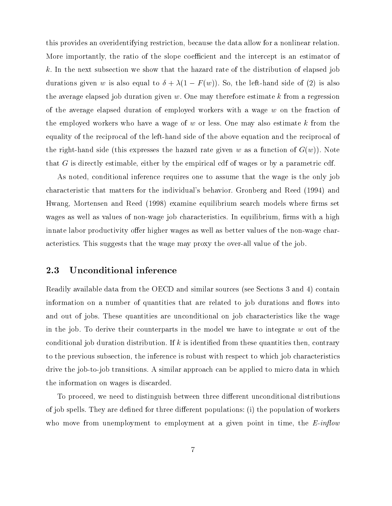this provides an overidentifying restriction, because the data allow for a nonlinear relation. More importantly, the ratio of the slope coefficient and the intercept is an estimator of k. In the next subsection we show that the hazard rate of the distribution of elapsed job durations given w is also equal to  $\delta + \lambda(1 - F(w))$ . So, the left-hand side of (2) is also the average elapsed job duration given w. One may therefore estimate  $k$  from a regression of the average elapsed duration of employed workers with a wage  $w$  on the fraction of the employed workers who have a wage of  $w$  or less. One may also estimate  $k$  from the equality of the reciprocal of the left-hand side of the above equation and the reciprocal of the right-hand side (this expresses the hazard rate given w as a function of  $G(w)$ ). Note that  $G$  is directly estimable, either by the empirical cdf of wages or by a parametric cdf.

As noted, conditional inference requires one to assume that the wage is the only job characteristic that matters for the individual's behavior. Gronberg and Reed (1994) and Hwang, Mortensen and Reed (1998) examine equilibrium search models where firms set wages as well as values of non-wage job characteristics. In equilibrium, firms with a high innate labor productivity offer higher wages as well as better values of the non-wage characteristics. This suggests that the wage may proxy the over-all value of the job.

#### 2.3 Unconditional inference

Readily available data from the OECD and similar sources (see Sections 3 and 4) contain information on a number of quantities that are related to job durations and flows into and out of jobs. These quantities are unconditional on job characteristics like the wage in the job. To derive their counterparts in the model we have to integrate  $w$  out of the conditional job duration distribution. If  $k$  is identified from these quantities then, contrary to the previous subsection, the inference is robust with respect to which job characteristics drive the job-to-job transitions. A similar approach can be applied to micro data in which the information on wages is discarded.

To proceed, we need to distinguish between three different unconditional distributions of job spells. They are defined for three different populations: (i) the population of workers who move from unemployment to employment at a given point in time, the  $E\text{-}inflow$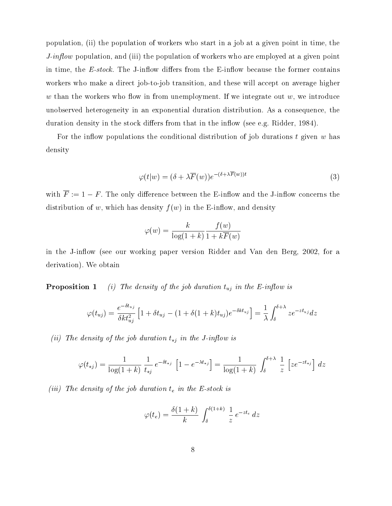population, (ii) the population of workers who start in a job at a given point in time, the  $J\text{-}inflow$  population, and (iii) the population of workers who are employed at a given point in time, the  $E\text{-}stock$ . The J-inflow differs from the E-inflow because the former contains workers who make a direct job-to-job transition, and these will accept on average higher w than the workers who infrom unemployment was also we integrate out was also we integrate out where  $\sim$ unobserved heterogeneity in an exponential duration distribution. As a consequence, the duration density in the stock differs from that in the inflow (see e.g. Ridder, 1984).

For the inflow populations the conditional distribution of job durations  $t$  given  $w$  has density

$$
\varphi(t|w) = (\delta + \lambda \overline{F}(w))e^{-(\delta + \lambda \overline{F}(w))t}
$$
\n(3)

with  $\overline{F} := 1 - F$ . The only difference between the E-inflow and the J-inflow concerns the distribution of w, which has density  $f(w)$  in the E-inflow, and density

$$
\varphi(w) = \frac{k}{\log(1+k)} \frac{f(w)}{1+k\overline{F}(w)}
$$

in the J-inflow (see our working paper version Ridder and Van den Berg, 2002, for a derivation). We obtain

**Proposition 1** (i) The density of the job duration  $t_{uj}$  in the E-inflow is

$$
\varphi(t_{uj}) = \frac{e^{-\delta t_{uj}}}{\delta k t_{uj}^2} \left[ 1 + \delta t_{uj} - (1 + \delta (1 + k) t_{uj}) e^{-\delta k t_{uj}} \right] = \frac{1}{\lambda} \int_{\delta}^{\delta + \lambda} z e^{-z t_{uj}} dz
$$

(ii) The density of the job duration  $t_{*j}$  in the J-inflow is

$$
\varphi(t_{*j}) = \frac{1}{\log(1+k)} \frac{1}{t_{*j}} e^{-\delta t_{*j}} \left[1 - e^{-\lambda t_{*j}}\right] = \frac{1}{\log(1+k)} \int_{\delta}^{\delta+k} \frac{1}{z} \left[ze^{-zt_{*j}}\right] dz
$$

(iii) The density of the job duration  $t_e$  in the E-stock is

$$
\varphi(t_e) = \frac{\delta(1+k)}{k} \int_{\delta}^{\delta(1+k)} \frac{1}{z} e^{-zt_e} dz
$$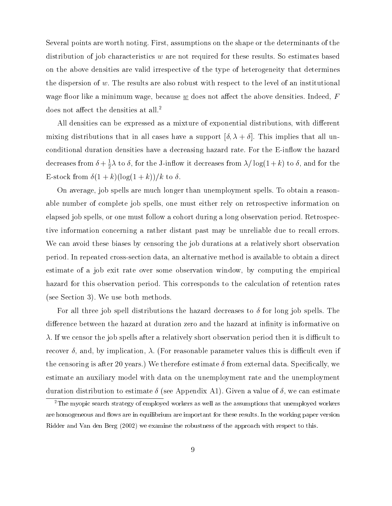Several points are worth noting. First, assumptions on the shape or the determinants of the distribution of job characteristics <sup>w</sup> are not required for these results. So estimates based on the above densities are valid irrespective of the type of heterogeneity that determines the dispersion of  $w$ . The results are also robust with respect to the level of an institutional wage floor like a minimum wage, because  $\underline{w}$  does not affect the above densities. Indeed, F does not affect the densities at all.<sup>2</sup>

All densities can be expressed as a mixture of exponential distributions, with different mixing distributions that in all cases have a support  $[\delta, \lambda + \delta]$ . This implies that all unconditional duration densities have a decreasing hazard rate. For the E-inflow the hazard decreases from  $\delta + \frac{1}{2}\lambda$  to  $\delta$ , for the J-innow it decreases from  $\lambda / \log(1 + \kappa)$  to  $\delta$ , and for the E-stock from  $\delta(1 + k)(\log(1 + k))/k$  to  $\delta$ .

On average, job spells are much longer than unemployment spells. To obtain a reasonable number of complete job spells, one must either rely on retrospective information on elapsed job spells, or one must follow a cohort during a long observation period. Retrospective information concerning a rather distant past may be unreliable due to recall errors. We can avoid these biases by censoring the job durations at a relatively short observation period. In repeated cross-section data, an alternative method is available to obtain a direct estimate of a job exit rate over some observation window, by computing the empirical hazard for this observation period. This corresponds to the calculation of retention rates (see Section 3). We use both methods.

For all three job spell distributions the hazard decreases to  $\delta$  for long job spells. The difference between the hazard at duration zero and the hazard at infinity is informative on  $\lambda$ . If we censor the job spells after a relatively short observation period then it is difficult to recover  $\delta$ , and, by implication,  $\lambda$ . (For reasonable parameter values this is difficult even if the censoring is after 20 years.) We therefore estimate  $\delta$  from external data. Specifically, we estimate an auxiliary model with data on the unemployment rate and the unemployment duration distribution to estimate  $\delta$  (see Appendix A1). Given a value of  $\delta$ , we can estimate

<sup>&</sup>lt;sup>2</sup>The myopic search strategy of employed workers as well as the assumptions that unemployed workers are homogeneous and flows are in equilibrium are important for these results. In the working paper version Ridder and Van den Berg (2002) we examine the robustness of the approach with respect to this.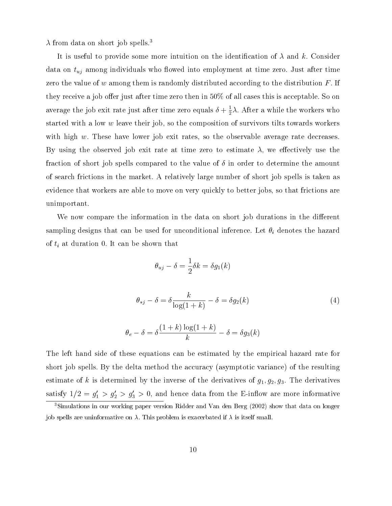$\lambda$  from data on short job spells. $3$ 

It is useful to provide some more intuition on the identification of  $\lambda$  and k. Consider data on  $t_{uj}$  among individuals who flowed into employment at time zero. Just after time zero the value of w among them is randomly distributed according to the distribution  $F$ . If they receive a job offer just after time zero then in  $50\%$  of all cases this is acceptable. So on average the job exit rate just after time zero equals  $o + \frac{1}{2} \lambda$ . After a while the workers who started with a low <sup>w</sup> leave their job, so the composition of survivors tilts towards workers with high w. These have lower job exit rates, so the observable average rate decreases. By using the observed job exit rate at time zero to estimate  $\lambda$ , we effectively use the fraction of short job spells compared to the value of  $\delta$  in order to determine the amount of search frictions in the market. A relatively large number of short job spells is taken as evidence that workers are able to move on very quickly to better jobs, so that frictions are unimportant.

We now compare the information in the data on short job durations in the different sampling designs that can be used for unconditional inference. Let  $\theta_i$  denotes the hazard of  $t_i$  at duration 0. It can be shown that

$$
\theta_{uj} - \delta = \frac{1}{2}\delta k = \delta g_1(k)
$$

$$
\theta_{*j} - \delta = \delta \frac{k}{\log(1+k)} - \delta = \delta g_2(k) \tag{4}
$$

$$
\theta_e - \delta = \delta \frac{(1+k)\log(1+k)}{k} - \delta = \delta g_3(k)
$$

The left hand side of these equations can be estimated by the empirical hazard rate for short job spells. By the delta method the accuracy (asymptotic variance) of the resulting estimate of k is determined by the inverse of the derivatives of  $g_1, g_2, g_3$ . The derivatives satisfy  $1/2 = g_1 > g_2 > g_3 > 0$ , and hence data from the E-innow are more informative

<sup>&</sup>lt;sup>3</sup>Simulations in our working paper version Ridder and Van den Berg (2002) show that data on longer job spells are uninformative on  $\lambda$ . This problem is exacerbated if  $\lambda$  is itself small.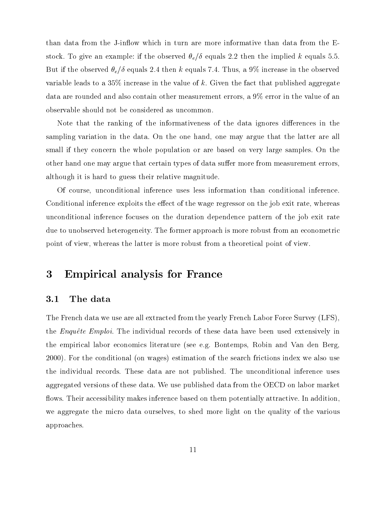than data from the J-inflow which in turn are more informative than data from the Estock. To give an example: if the observed  $\theta_e/\delta$  equals 2.2 then the implied k equals 5.5. But if the observed  $\theta_e/\delta$  equals 2.4 then k equals 7.4. Thus, a 9% increase in the observed variable leads to a  $35\%$  increase in the value of k. Given the fact that published aggregate data are rounded and also contain other measurement errors, a 9% error in the value of an observable should not be considered as uncommon.

Note that the ranking of the informativeness of the data ignores differences in the sampling variation in the data. On the one hand, one may argue that the latter are all small if they concern the whole population or are based on very large samples. On the other hand one may argue that certain types of data suffer more from measurement errors, although it is hard to guess their relative magnitude.

Of course, unconditional inference uses less information than conditional inference. Conditional inference exploits the effect of the wage regressor on the job exit rate, whereas unconditional inference focuses on the duration dependence pattern of the job exit rate due to unobserved heterogeneity. The former approach is more robust from an econometric point of view, whereas the latter is more robust from a theoretical point of view.

#### 3 3 Empirical analysis for France

#### 3.1 The data

The French data we use are all extracted from the yearly French Labor Force Survey (LFS), the *Enquête Emploi*. The individual records of these data have been used extensively in the empirical labor economics literature (see e.g. Bontemps, Robin and Van den Berg, 2000). For the conditional (on wages) estimation of the search frictions index we also use the individual records. These data are not published. The unconditional inference uses aggregated versions of these data. We use published data from the OECD on labor market flows. Their accessibility makes inference based on them potentially attractive. In addition, we aggregate the micro data ourselves, to shed more light on the quality of the various approaches.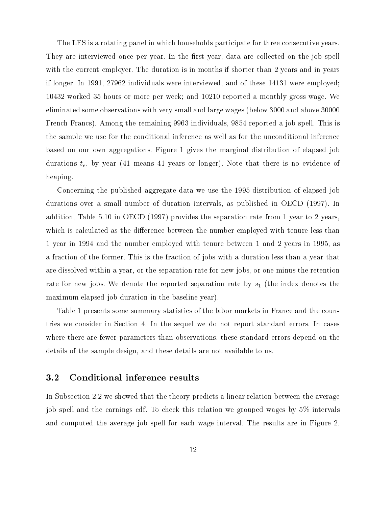The LFS is a rotating panel in which households participate for three consecutive years. They are interviewed once per year. In the first year, data are collected on the job spell with the current employer. The duration is in months if shorter than 2 years and in years if longer. In 1991, 27962 individuals were interviewed, and of these 14131 were employed; 10432 worked 35 hours or more per week; and 10210 reported a monthly gross wage. We eliminated some observations with very small and large wages (below 3000 and above 30000 French Francs). Among the remaining 9963 individuals, 9854 reported a job spell. This is the sample we use for the conditional inference as well as for the unconditional inference based on our own aggregations. Figure 1 gives the marginal distribution of elapsed job durations  $t_e$ , by year (41 means 41 years or longer). Note that there is no evidence of heaping.

Concerning the published aggregate data we use the 1995 distribution of elapsed job durations over a small number of duration intervals, as published in OECD (1997). In addition, Table 5.10 in OECD (1997) provides the separation rate from 1 year to 2 years, which is calculated as the difference between the number employed with tenure less than 1 year in 1994 and the number employed with tenure between 1 and 2 years in 1995, as a fraction of the former. This is the fraction of jobs with a duration less than a year that are dissolved within a year, or the separation rate for new jobs, or one minus the retention rate for new jobs. We denote the reported separation rate by  $s_1$  (the index denotes the maximum elapsed job duration in the baseline year).

Table 1 presents some summary statistics of the labor markets in France and the countries we consider in Section 4. In the sequel we do not report standard errors. In cases where there are fewer parameters than observations, these standard errors depend on the details of the sample design, and these details are not available to us.

#### 3.2 Conditional inference results

In Subsection 2.2 we showed that the theory predicts a linear relation between the average job spell and the earnings cdf. To check this relation we grouped wages by 5% intervals and computed the average job spell for each wage interval. The results are in Figure 2.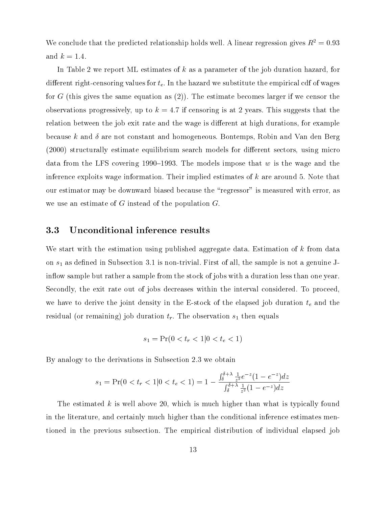We conclude that the predicted relationship holds well. A linear regression gives  $R^2 = 0.93$ and  $k = 1.4$ .

In Table 2 we report ML estimates of k as a parameter of the job duration hazard, for different right-censoring values for  $t_e$ . In the hazard we substitute the empirical cdf of wages for G (this gives the same equation as  $(2)$ ). The estimate becomes larger if we censor the observations progressively, up to  $k = 4.7$  if censoring is at 2 years. This suggests that the relation between the job exit rate and the wage is different at high durations, for example because k and  $\delta$  are not constant and homogeneous. Bontemps, Robin and Van den Berg  $(2000)$  structurally estimate equilibrium search models for different sectors, using micro data from the LFS covering 1990–1993. The models impose that  $w$  is the wage and the inference exploits wage information. Their implied estimates of  $k$  are around 5. Note that our estimator may be downward biased because the "regressor" is measured with error, as we use an estimate of  $G$  instead of the population  $G$ .

#### 3.3 Unconditional inference results

We start with the estimation using published aggregate data. Estimation of  $k$  from data on  $s_1$  as defined in Subsection 3.1 is non-trivial. First of all, the sample is not a genuine Jinflow sample but rather a sample from the stock of jobs with a duration less than one year. Secondly, the exit rate out of jobs decreases within the interval considered. To proceed, we have to derive the joint density in the E-stock of the elapsed job duration  $t_e$  and the residual (or remaining) job duration  $t_r$ . The observation  $s_1$  then equals

$$
s_1 = \Pr(0 < t_r < 1 | 0 < t_e < 1)
$$

By analogy to the derivations in Subsection 2.3 we obtain

$$
s_1 = \Pr(0 < t_r < 1 | 0 < t_e < 1) = 1 - \frac{\int_{\delta}^{\delta + \lambda} \frac{1}{z^2} e^{-z} (1 - e^{-z}) dz}{\int_{\delta}^{\delta + \lambda} \frac{1}{z^2} (1 - e^{-z}) dz}
$$

The estimated k is well above 20, which is much higher than what is typically found in the literature, and certainly much higher than the conditional inference estimates mentioned in the previous subsection. The empirical distribution of individual elapsed job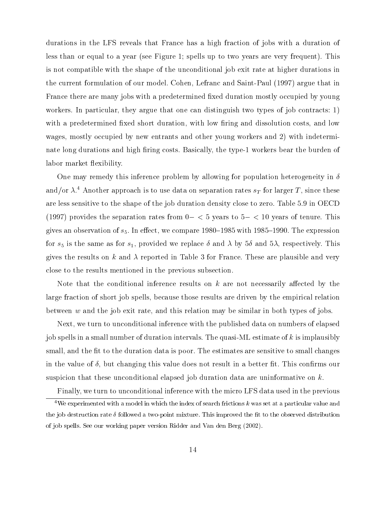durations in the LFS reveals that France has a high fraction of jobs with a duration of less than or equal to a year (see Figure 1; spells up to two years are very frequent). This is not compatible with the shape of the unconditional job exit rate at higher durations in the current formulation of our model. Cohen, Lefranc and Saint-Paul (1997) argue that in France there are many jobs with a predetermined fixed duration mostly occupied by young workers. In particular, they argue that one can distinguish two types of job contracts: 1) with a predetermined fixed short duration, with low firing and dissolution costs, and low wages, mostly occupied by new entrants and other young workers and 2) with indeterminate long durations and high firing costs. Basically, the type-1 workers bear the burden of labor market flexibility.

One may remedy this inference problem by allowing for population heterogeneity in  $\delta$ and/or  $\lambda$ .<sup>4</sup> Another approach is to use data on separation rates  $s_T$  for larger T, since these are less sensitive to the shape of the job duration density close to zero. Table 5.9 in OECD (1997) provides the separation rates from  $0 - < 5$  years to  $5 - < 10$  years of tenure. This gives an observation of  $s_5$ . In effect, we compare 1980–1985 with 1985–1990. The expression for  $s_5$  is the same as for  $s_1$ , provided we replace  $\delta$  and  $\lambda$  by 5 $\delta$  and 5 $\lambda$ , respectively. This gives the results on k and  $\lambda$  reported in Table 3 for France. These are plausible and very close to the results mentioned in the previous subsection.

Note that the conditional inference results on  $k$  are not necessarily affected by the large fraction of short job spells, because those results are driven by the empirical relation between <sup>w</sup> and the job exit rate, and this relation may be similar in both types of jobs.

Next, we turn to unconditional inference with the published data on numbers of elapsed job spells in a small number of duration intervals. The quasi-ML estimate of k is implausibly small, and the fit to the duration data is poor. The estimates are sensitive to small changes in the value of  $\delta$ , but changing this value does not result in a better fit. This confirms our suspicion that these unconditional elapsed job duration data are uninformative on  $k$ .

Finally, we turn to unconditional inference with the micro LFS data used in the previous <sup>4</sup>We experimented with a model in which the index of search frictions k was set at a particular value and

the job destruction rate  $\delta$  followed a two-point mixture. This improved the fit to the observed distribution of job spells. See our working paper version Ridder and Van den Berg (2002).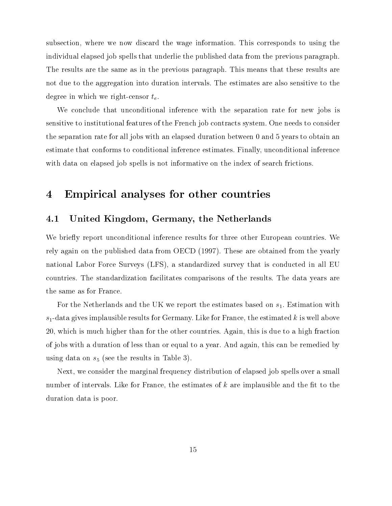subsection, where we now discard the wage information. This corresponds to using the individual elapsed job spells that underlie the published data from the previous paragraph. The results are the same as in the previous paragraph. This means that these results are not due to the aggregation into duration intervals. The estimates are also sensitive to the degree in which we right-censor  $t_e$ .

We conclude that unconditional inference with the separation rate for new jobs is sensitive to institutional features of the French job contracts system. One needs to consider the separation rate for all jobs with an elapsed duration between 0 and 5 years to obtain an estimate that conforms to conditional inference estimates. Finally, unconditional inference with data on elapsed job spells is not informative on the index of search frictions.

## 4 Empirical analyses for other countries

#### 4.1 United Kingdom, Germany, the Netherlands

We briefly report unconditional inference results for three other European countries. We rely again on the published data from OECD (1997). These are obtained from the yearly national Labor Force Surveys (LFS), a standardized survey that is conducted in all EU countries. The standardization facilitates comparisons of the results. The data years are the same as for France.

For the Netherlands and the UK we report the estimates based on  $s_1$ . Estimation with  $s_1$ -data gives implausible results for Germany. Like for France, the estimated k is well above 20, which is much higher than for the other countries. Again, this is due to a high fraction of jobs with a duration of less than or equal to a year. And again, this can be remedied by using data on  $s_5$  (see the results in Table 3).

Next, we consider the marginal frequency distribution of elapsed job spells over a small number of intervals. Like for France, the estimates of  $k$  are implausible and the fit to the duration data is poor.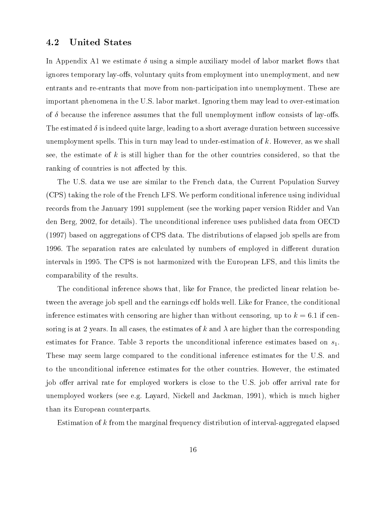#### 4.2 United States

In Appendix A1 we estimate  $\delta$  using a simple auxiliary model of labor market flows that ignores temporary lay-offs, voluntary quits from employment into unemployment, and new entrants and re-entrants that move from non-participation into unemployment. These are important phenomena in the U.S. labor market. Ignoring them may lead to over-estimation of  $\delta$  because the inference assumes that the full unemployment inflow consists of lay-offs. The estimated  $\delta$  is indeed quite large, leading to a short average duration between successive unemployment spells. This in turn may lead to under-estimation of  $k$ . However, as we shall see, the estimate of k is still higher than for the other countries considered, so that the ranking of countries is not affected by this.

The U.S. data we use are similar to the French data, the Current Population Survey (CPS) taking the role of the French LFS. We perform conditional inference using individual records from the January 1991 supplement (see the working paper version Ridder and Van den Berg, 2002, for details). The unconditional inference uses published data from OECD (1997) based on aggregations of CPS data. The distributions of elapsed job spells are from 1996. The separation rates are calculated by numbers of employed in different duration intervals in 1995. The CPS is not harmonized with the European LFS, and this limits the comparability of the results.

The conditional inference shows that, like for France, the predicted linear relation between the average job spell and the earnings cdf holds well. Like for France, the conditional inference estimates with censoring are higher than without censoring, up to  $k = 6.1$  if censoring is at 2 years. In all cases, the estimates of k and  $\lambda$  are higher than the corresponding estimates for France. Table 3 reports the unconditional inference estimates based on  $s_1$ . These may seem large compared to the conditional inference estimates for the U.S. and to the unconditional inference estimates for the other countries. However, the estimated job offer arrival rate for employed workers is close to the U.S. job offer arrival rate for unemployed workers (see e.g. Layard, Nickell and Jackman, 1991), which is much higher than its European counterparts.

Estimation of <sup>k</sup> from the marginal frequency distribution of interval-aggregated elapsed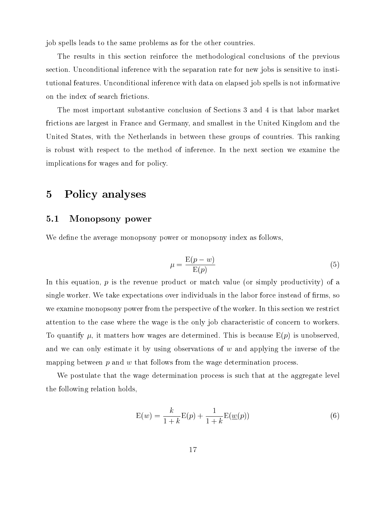job spells leads to the same problems as for the other countries.

The results in this section reinforce the methodological conclusions of the previous section. Unconditional inference with the separation rate for new jobs is sensitive to institutional features. Unconditional inference with data on elapsed job spells is not informative on the index of search frictions.

The most important substantive conclusion of Sections 3 and 4 is that labor market frictions are largest in France and Germany, and smallest in the United Kingdom and the United States, with the Netherlands in between these groups of countries. This ranking is robust with respect to the method of inference. In the next section we examine the implications for wages and for policy.

## 5 Policy analyses

#### 5.1 Monopsony power

We define the average monopsony power or monopsony index as follows,

$$
\mu = \frac{E(p - w)}{E(p)}\tag{5}
$$

In this equation,  $p$  is the revenue product or match value (or simply productivity) of a single worker. We take expectations over individuals in the labor force instead of firms, so we examine monopsony power from the perspective of the worker. In this section we restrict attention to the case where the wage is the only job characteristic of concern to workers. To quantify  $\mu$ , it matters how wages are determined. This is because  $E(p)$  is unobserved, and we can only estimate it by using observations of  $w$  and applying the inverse of the mapping between  $p$  and  $w$  that follows from the wage determination process.

We postulate that the wage determination process is such that at the aggregate level the following relation holds,

$$
E(w) = \frac{k}{1+k}E(p) + \frac{1}{1+k}E(\underline{w}(p))
$$
\n(6)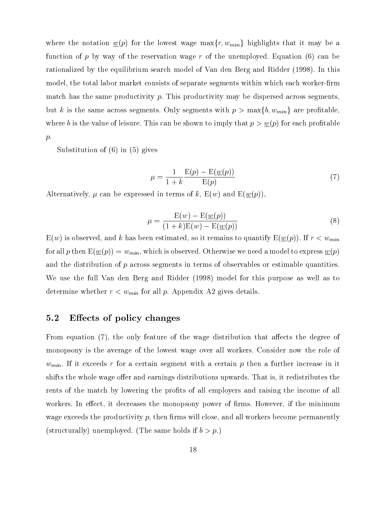where the notation  $\underline{w}(p)$  for the lowest wage  $\max\{r, w_{min}\}\$  highlights that it may be a function of p by way of the reservation wage r of the unemployed. Equation (6) can be rationalized by the equilibrium search model of Van den Berg and Ridder (1998). In this model, the total labor market consists of separate segments within which each worker-firm match has the same productivity  $p$ . This productivity may be dispersed across segments, but k is the same across segments. Only segments with  $p > \max\{b, w_{min}\}\$  are profitable, where b is the value of leisure. This can be shown to imply that  $p > w(p)$  for each profitable  $p$ .

Substitution of (6) in (5) gives

$$
\mu = \frac{1}{1+k} \frac{\mathcal{E}(p) - \mathcal{E}(\underline{w}(p))}{\mathcal{E}(p)}\tag{7}
$$

Alternatively,  $\mu$  can be expressed in terms of k,  $E(w)$  and  $E(w(p))$ ,

$$
\mu = \frac{E(w) - E(\underline{w}(p))}{(1 + k)E(w) - E(\underline{w}(p))}
$$
(8)

 $E(w)$  is observed, and k has been estimated, so it remains to quantify  $E(\underline{w}(p))$ . If  $r < w_{min}$ for all p then  $E(\underline{w}(p)) = w_{min}$ , which is observed. Otherwise we need a model to express  $\underline{w}(p)$ and the distribution of  $p$  across segments in terms of observables or estimable quantities. We use the full Van den Berg and Ridder (1998) model for this purpose as well as to determine whether  $r < w_{min}$  for all p. Appendix A2 gives details.

### 5.2 Effects of policy changes

From equation  $(7)$ , the only feature of the wage distribution that affects the degree of monopsony is the average of the lowest wage over all workers. Consider now the role of  $w_{min}$ . If it exceeds r for a certain segment with a certain p then a further increase in it shifts the whole wage offer and earnings distributions upwards. That is, it redistributes the rents of the match by lowering the profits of all employers and raising the income of all workers. In effect, it decreases the monopsony power of firms. However, if the minimum wage exceeds the productivity  $p$ , then firms will close, and all workers become permanently (structurally) unemployed. (The same holds if  $b > p$ .)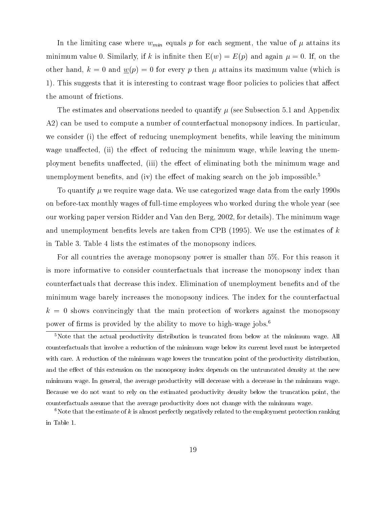In the limiting case where  $w_{min}$  equals p for each segment, the value of  $\mu$  attains its minimum value 0. Similarly, if k is infinite then  $E(w) = E(p)$  and again  $\mu = 0$ . If, on the other hand,  $k = 0$  and  $\underline{w}(p) = 0$  for every p then  $\mu$  attains its maximum value (which is 1). This suggests that it is interesting to contrast wage floor policies to policies that affect the amount of frictions.

The estimates and observations needed to quantify  $\mu$  (see Subsection 5.1 and Appendix A2) can be used to compute a number of counterfactual monopsony indices. In particular, we consider (i) the effect of reducing unemployment benefits, while leaving the minimum wage unaffected, (ii) the effect of reducing the minimum wage, while leaving the unemployment benefits unaffected, (iii) the effect of eliminating both the minimum wage and unemployment benefits, and (iv) the effect of making search on the job impossible.<sup>5</sup>

To quantify  $\mu$  we require wage data. We use categorized wage data from the early 1990s on before-tax monthly wages of full-time employees who worked during the whole year (see our working paper version Ridder and Van den Berg, 2002, for details). The minimum wage and unemployment benefits levels are taken from CPB  $(1995)$ . We use the estimates of k in Table 3. Table 4 lists the estimates of the monopsony indices.

For all countries the average monopsony power is smaller than 5%. For this reason it is more informative to consider counterfactuals that increase the monopsony index than counterfactuals that decrease this index. Elimination of unemployment benefits and of the minimum wage barely increases the monopsony indices. The index for the counterfactual k a distribution that the main that the main protection of workers against the monopsony power of firms is provided by the ability to move to high-wage jobs.<sup>6</sup>

<sup>&</sup>lt;sup>5</sup>Note that the actual productivity distribution is truncated from below at the minimum wage. All counterfactuals that involve a reduction of the minimum wage below its current level must be interpreted with care. A reduction of the minimum wage lowers the truncation point of the productivity distribution, and the effect of this extension on the monopsony index depends on the untruncated density at the new minimum wage. In general, the average productivity will decrease with a decrease in the minimum wage. Because we do not want to rely on the estimated productivity density below the truncation point, the counterfactuals assume that the average productivity does not change with the minimum wage.

<sup>&</sup>lt;sup>6</sup>Note that the estimate of k is almost perfectly negatively related to the employment protection ranking in Table 1.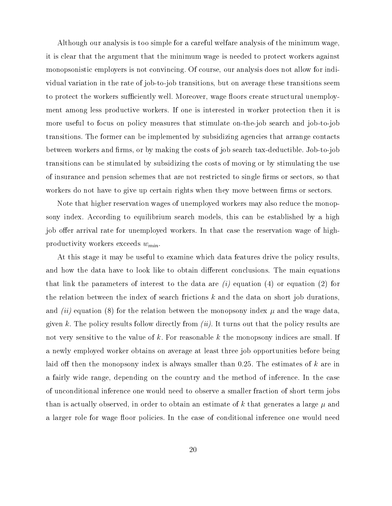Although our analysis is too simple for a careful welfare analysis of the minimum wage, it is clear that the argument that the minimum wage is needed to protect workers against monopsonistic employers is not convincing. Of course, our analysis does not allow for individual variation in the rate of job-to-job transitions, but on average these transitions seem to protect the workers sufficiently well. Moreover, wage floors create structural unemployment among less productive workers. If one is interested in worker protection then it is more useful to focus on policy measures that stimulate on-the-job search and job-to-job transitions. The former can be implemented by subsidizing agencies that arrange contacts between workers and firms, or by making the costs of job search tax-deductible. Job-to-job transitions can be stimulated by subsidizing the costs of moving or by stimulating the use of insurance and pension schemes that are not restricted to single firms or sectors, so that workers do not have to give up certain rights when they move between firms or sectors.

Note that higher reservation wages of unemployed workers may also reduce the monopsony index. According to equilibrium search models, this can be established by a high job offer arrival rate for unemployed workers. In that case the reservation wage of highproductivity workers exceeds  $w_{min}$ .

At this stage it may be useful to examine which data features drive the policy results, and how the data have to look like to obtain different conclusions. The main equations that link the parameters of interest to the data are  $(i)$  equation (4) or equation (2) for the relation between the index of search frictions  $k$  and the data on short job durations, and *(ii)* equation (8) for the relation between the monopsony index  $\mu$  and the wage data, given k. The policy results follow directly from  $(ii)$ . It turns out that the policy results are not very sensitive to the value of k. For reasonable k the monopsony indices are small. If a newly employed worker obtains on average at least three job opportunities before being laid off then the monopsony index is always smaller than  $0.25$ . The estimates of k are in a fairly wide range, depending on the country and the method of inference. In the case of unconditional inference one would need to observe a smaller fraction of short term jobs than is actually observed, in order to obtain an estimate of k that generates a large  $\mu$  and a larger role for wage floor policies. In the case of conditional inference one would need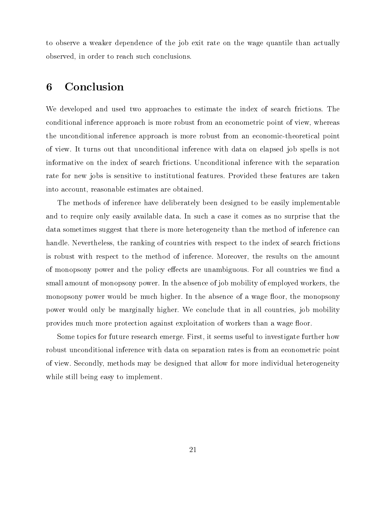to observe a weaker dependence of the job exit rate on the wage quantile than actually observed, in order to reach such conclusions.

#### **Conclusion** 6

We developed and used two approaches to estimate the index of search frictions. The conditional inference approach is more robust from an econometric point of view, whereas the unconditional inference approach is more robust from an economic-theoretical point of view. It turns out that unconditional inference with data on elapsed job spells is not informative on the index of search frictions. Unconditional inference with the separation rate for new jobs is sensitive to institutional features. Provided these features are taken into account, reasonable estimates are obtained.

The methods of inference have deliberately been designed to be easily implementable and to require only easily available data. In such a case it comes as no surprise that the data sometimes suggest that there is more heterogeneity than the method of inference can handle. Nevertheless, the ranking of countries with respect to the index of search frictions is robust with respect to the method of inference. Moreover, the results on the amount of monopsony power and the policy effects are unambiguous. For all countries we find a small amount of monopsony power. In the absence of job mobility of employed workers, the monopsony power would be much higher. In the absence of a wage floor, the monopsony power would only be marginally higher. We conclude that in all countries, job mobility provides much more protection against exploitation of workers than a wage floor.

Some topics for future research emerge. First, it seems useful to investigate further how robust unconditional inference with data on separation rates is from an econometric point of view. Secondly, methods may be designed that allow for more individual heterogeneity while still being easy to implement.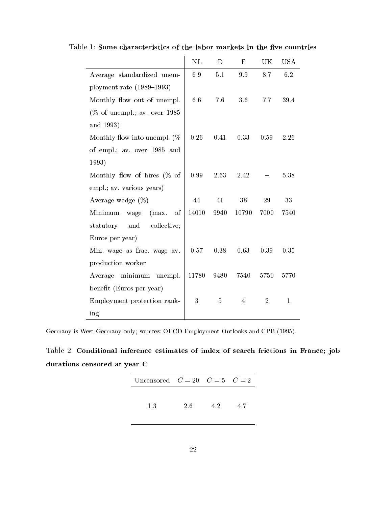|                                 | $\rm NL$ | $\mathbf D$    | $\mathbf F$    | UK             | <b>USA</b>   |
|---------------------------------|----------|----------------|----------------|----------------|--------------|
| Average standardized unem-      | 6.9      | 5.1            | 9.9            | 8.7            | 6.2          |
| ployment rate $(1989-1993)$     |          |                |                |                |              |
| Monthly flow out of unempl.     | 6.6      | 7.6            | 3.6            | 7.7            | 39.4         |
| $(\%$ of unempl.; av. over 1985 |          |                |                |                |              |
| and 1993)                       |          |                |                |                |              |
| Monthly flow into unempl. $(\%$ | 0.26     | 0.41           | 0.33           | 0.59           | 2.26         |
| of empl.; av. over 1985 and     |          |                |                |                |              |
| 1993)                           |          |                |                |                |              |
| Monthly flow of hires $(\%$ of  | 0.99     | 2.63           | 2.42           |                | 5.38         |
| empl.; av. various years)       |          |                |                |                |              |
| Average wedge $(\%)$            | 44       | 41             | $38\,$         | 29             | 33           |
| Minimum<br>(max.<br>wage<br>οf  | 14010    | 9940           | 10790          | 7000           | 7540         |
| statutory<br>and<br>collective; |          |                |                |                |              |
| Euros per year)                 |          |                |                |                |              |
| Min. wage as frac. wage av.     | 0.57     | 0.38           | 0.63           | 0.39           | 0.35         |
| production worker               |          |                |                |                |              |
| Average minimum unempl.         | 11780    | 9480           | 7540           | 5750           | 5770         |
| benefit (Euros per year)        |          |                |                |                |              |
| Employment protection rank-     | 3        | $\overline{5}$ | $\overline{4}$ | $\overline{2}$ | $\mathbf{1}$ |
| ing                             |          |                |                |                |              |

Table 1: Some characteristics of the labor markets in the five countries

Germany is West Germany only; sources: OECD Employment Outlooks and CPB (1995).

Table 2: Conditional inference estimates of index of search frictions in France; job durations censored at year C

| Uncensored $C = 20$ $C = 5$ $C = 2$ |     |    |    |
|-------------------------------------|-----|----|----|
| 1.3                                 | 2.6 | 42 | 47 |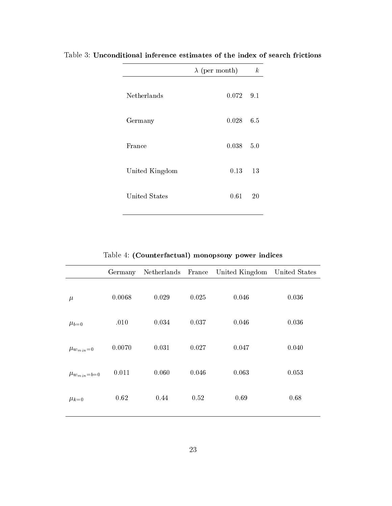|                | $\lambda$ (per month) | $\boldsymbol{k}$ |
|----------------|-----------------------|------------------|
| Netherlands    | $0.072$ 9.1           |                  |
| Germany        | 0.028                 | 6.5              |
| France         | 0.038                 | 5.0              |
| United Kingdom | 0.13                  | 13               |
| United States  | 0.61                  | 20               |

Table 3: Unconditional inference estimates of the index of search frictions

Table 4: (Counterfactual) monopsony power indices

|                     | Germany | Netherlands | France | United Kingdom | United States |
|---------------------|---------|-------------|--------|----------------|---------------|
| $\mu$               | 0.0068  | 0.029       | 0.025  | 0.046          | 0.036         |
| $\mu_{b=0}$         | .010    | 0.034       | 0.037  | 0.046          | 0.036         |
| $\mu_{w_{min}=0}$   | 0.0070  | 0.031       | 0.027  | 0.047          | 0.040         |
| $\mu_{w_{min}=b=0}$ | 0.011   | 0.060       | 0.046  | 0.063          | 0.053         |
| $\mu_{k=0}$         | 0.62    | 0.44        | 0.52   | 0.69           | 0.68          |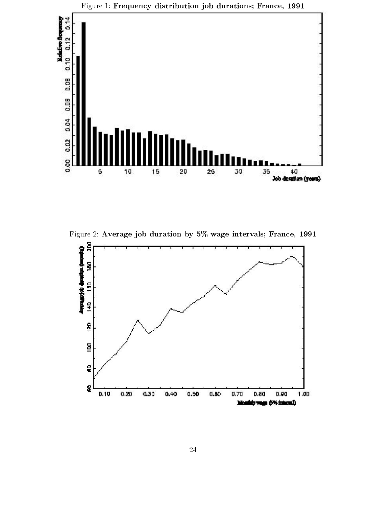

Figure 1: Frequency distribution job durations; France, 1991

Figure 2: Average job duration by 5% wage intervals; France, 1991

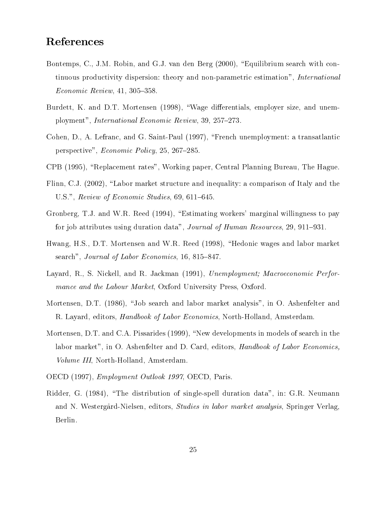## References

- Bontemps, C., J.M. Robin, and G.J. van den Berg (2000), "Equilibrium search with continuous productivity dispersion: theory and non-parametric estimation", International  $Economic$  Review, 41, 305-358.
- Burdett, K. and D.T. Mortensen (1998), "Wage differentials, employer size, and unemployment", *International Economic Review*, 39, 257-273.
- Cohen, D., A. Lefranc, and G. Saint-Paul (1997), "French unemployment: a transatlantic perspective",  $E_{\text{conomic Policy}, 25, 267-285.}$
- CPB (1995), "Replacement rates", Working paper, Central Planning Bureau, The Hague.
- Flinn, C.J. (2002), "Labor market structure and inequality: a comparison of Italy and the U.S.", Review of Economic Studies,  $69, 611-645$ .
- Gronberg, T.J. and W.R. Reed (1994), "Estimating workers' marginal willingness to pay for job attributes using duration data", Journal of Human Resources, 29, 911–931.
- Hwang, H.S., D.T. Mortensen and W.R. Reed (1998), "Hedonic wages and labor market search", Journal of Labor Economics,  $16, 815-847$ .
- Layard, R., S. Nickell, and R. Jackman (1991), Unemployment; Macroeconomic Performance and the Labour Market, Oxford University Press, Oxford.
- Mortensen, D.T. (1986), "Job search and labor market analysis", in O. Ashenfelter and R. Layard, editors, Handbook of Labor Economics, North-Holland, Amsterdam.
- Mortensen, D.T. and C.A. Pissarides (1999), "New developments in models of search in the labor market", in O. Ashenfelter and D. Card, editors, *Handbook of Labor Economics*, Volume III, North-Holland, Amsterdam.
- OECD (1997), Employment Outlook 1997, OECD, Paris.
- Ridder, G. (1984), "The distribution of single-spell duration data", in: G.R. Neumann and N. Westergård-Nielsen, editors, *Studies in labor market analysis*, Springer Verlag, Berlin.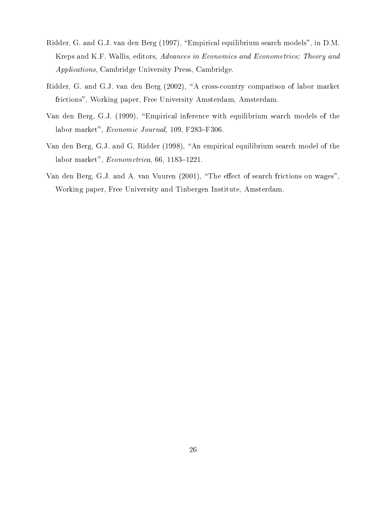- Ridder, G. and G.J. van den Berg (1997), "Empirical equilibrium search models", in D.M. Kreps and K.F. Wallis, editors, Advances in Economics and Econometrics: Theory and Applications, Cambridge University Press, Cambridge.
- Ridder, G. and G.J. van den Berg (2002), "A cross-country comparison of labor market frictions", Working paper, Free University Amsterdam, Amsterdam.
- Van den Berg, G.J. (1999), "Empirical inference with equilibrium search models of the labor market",  $Economic\ Journal$ , 109, F283-F306.
- Van den Berg, G.J. and G. Ridder (1998), "An empirical equilibrium search model of the labor market",  $Econometrica, 66, 1183-1221$ .
- Van den Berg, G.J. and A. van Vuuren (2001), "The effect of search frictions on wages", Working paper, Free University and Tinbergen Institute, Amsterdam.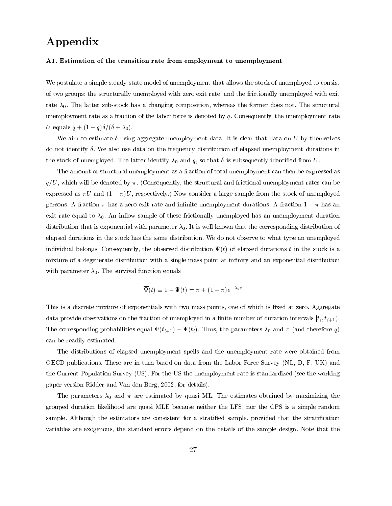## Appendix

#### A1. Estimation of the transition rate from employment to unemployment

We postulate a simple steady-state model of unemployment that allows the stock of unemployed to consist of two groups: the structurally unemployed with zero exit rate, and the frictionally unemployed with exit rate  $\lambda_0$ . The latter sub-stock has a changing composition, whereas the former does not. The structural unemployment rate as a fraction of the labor force is denoted by  $q$ . Consequently, the unemployment rate U equals  $q + (1 - q)\delta/(\delta + \lambda_0)$ .

We aim to estimate  $\delta$  using aggregate unemployment data. It is clear that data on U by themselves do not identify  $\delta$ . We also use data on the frequency distribution of elapsed unemployment durations in the stock of unemployed. The latter identify  $\lambda_0$  and q, so that  $\delta$  is subsequently identified from U.

The amount of structural unemployment as a fraction of total unemployment can then be expressed as  $q/U$ , which will be denoted by  $\pi$ . (Consequently, the structural and frictional unemployment rates can be expressed as  $\pi U$  and  $(1 - \pi)U$ , respectively.) Now consider a large sample from the stock of unemployed persons. A fraction  $\pi$  has a zero exit rate and infinite unemployment durations. A fraction  $1 - \pi$  has an exit rate equal to  $\lambda_0$ . An inflow sample of these frictionally unemployed has an unemployment duration distribution that is exponential with parameter  $\lambda_0$ . It is well known that the corresponding distribution of elapsed durations in the stock has the same distribution. We do not observe to what type an unemployed individual belongs. Consequently, the observed distribution  $\Psi(t)$  of elapsed durations t in the stock is a mixture of a degenerate distribution with a single mass point at infinity and an exponential distribution with parameter  $\lambda_0$ . The survival function equals

$$
\overline{\Psi}(t) \equiv 1 - \Psi(t) = \pi + (1 - \pi)e^{-\lambda_0 t}
$$

This is a discrete mixture of exponentials with two mass points, one of which is fixed at zero. Aggregate data provide observations on the fraction of unemployed in a finite number of duration intervals  $[t_i, t_{i+1})$ . The corresponding probabilities equal  $\Psi(t_{i+1}) - \Psi(t_i)$ . Thus, the parameters  $\lambda_0$  and  $\pi$  (and therefore q) can be readily estimated.

The distributions of elapsed unemployment spells and the unemployment rate were obtained from OECD publications. These are in turn based on data from the Labor Force Survey (NL, D, F, UK) and the Current Population Survey (US). For the US the unemployment rate is standardized (see the working paper version Ridder and Van den Berg, 2002, for details).

The parameters  $\lambda_0$  and  $\pi$  are estimated by quasi ML. The estimates obtained by maximizing the grouped duration likelihood are quasi MLE because neither the LFS, nor the CPS is a simple random sample. Although the estimators are consistent for a stratified sample, provided that the stratification variables are exogenous, the standard errors depend on the details of the sample design. Note that the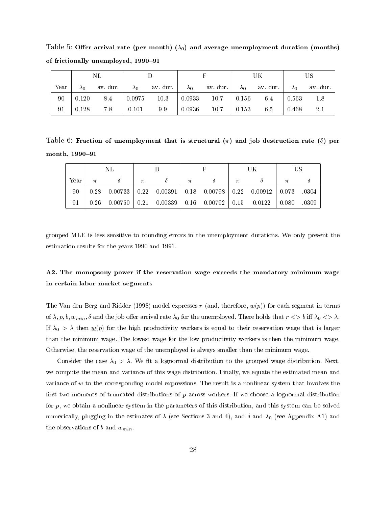Table 5: Offer arrival rate (per month)  $(\lambda_0)$  and average unemployment duration (months) of frictionally unemployed, 1990-91

|      |                     | NL  |  |                                                                                       |  |             |                      |
|------|---------------------|-----|--|---------------------------------------------------------------------------------------|--|-------------|----------------------|
| Year |                     |     |  | $\lambda_0$ av. dur. $\lambda_0$ av. dur. $\lambda_0$ av. dur. $\lambda_0$ av. dur. 1 |  |             | $\lambda_0$ av. dur. |
| 90   | 0.120               |     |  | $8.4$   0.0975 10.3   0.0933 10.7   0.156 6.4   0.563                                 |  |             |                      |
| 91   | $\frac{1}{2}$ 0.128 | 7.8 |  |                                                                                       |  | 6.5   0.468 | 2.1                  |

Table 6: Fraction of unemployment that is structural ( $\pi$ ) and job destruction rate ( $\delta$ ) per month, 1990-91

|      |                                                                            |  |       |       | UK |       |
|------|----------------------------------------------------------------------------|--|-------|-------|----|-------|
| Year |                                                                            |  | $\pi$ | $\pi$ |    |       |
| 90   |                                                                            |  |       |       |    |       |
| 91   | $0.26$ $0.00750$ $0.21$ $0.00339$ $0.16$ $0.00792$ $0.15$ $0.0122$ $0.080$ |  |       |       |    | .0309 |

grouped MLE is less sensitive to rounding errors in the unemployment durations. We only present the estimation results for the years 1990 and 1991.

#### A2. The monopsony power if the reservation wage exceeds the mandatory minimum wage in certain labor market segments

The Van den Berg and Ridder (1998) model expresses r (and, therefore,  $w(p)$ ) for each segment in terms of  $\lambda, p, b, w_{min}, \delta$  and the job offer arrival rate  $\lambda_0$  for the unemployed. There holds that  $r \ll b$  iff  $\lambda_0 \ll b$ . If  $\lambda_0 > \lambda$  then  $\underline{w}(p)$  for the high productivity workers is equal to their reservation wage that is larger than the minimum wage. The lowest wage for the low productivity workers is then the minimum wage. Otherwise, the reservation wage of the unemployed is always smaller than the minimum wage.

Consider the case  $\lambda_0 > \lambda$ . We fit a lognormal distribution to the grouped wage distribution. Next, we compute the mean and variance of this wage distribution. Finally, we equate the estimated mean and variance of  $w$  to the corresponding model expressions. The result is a nonlinear system that involves the first two moments of truncated distributions of  $p$  across workers. If we choose a lognormal distribution for p, we obtain a nonlinear system in the parameters of this distribution, and this system can be solved numerically, plugging in the estimates of  $\lambda$  (see Sections 3 and 4), and  $\delta$  and  $\lambda_0$  (see Appendix A1) and the observations of b and  $w_{min}$ .